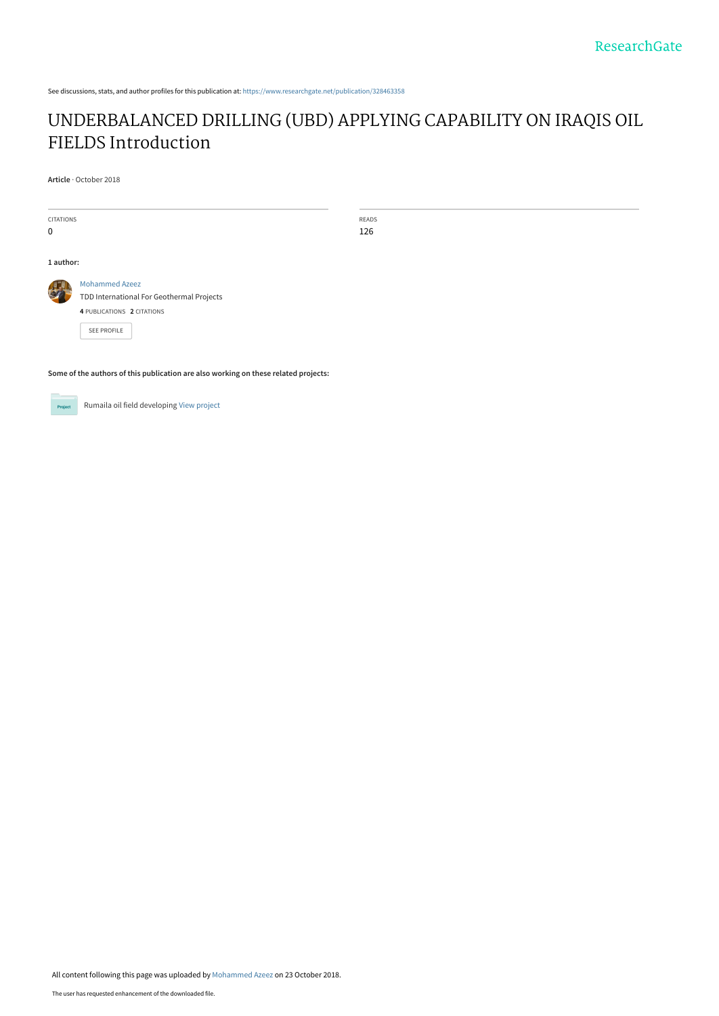See discussions, stats, and author profiles for this publication at: [https://www.researchgate.net/publication/328463358](https://www.researchgate.net/publication/328463358_UNDERBALANCED_DRILLING_UBD_APPLYING_CAPABILITY_ON_IRAQIS_OIL_FIELDS_Introduction?enrichId=rgreq-951b3a907d5a5d0964cc5267dcda996b-XXX&enrichSource=Y292ZXJQYWdlOzMyODQ2MzM1ODtBUzo2ODQ5MzQ5MzkyODM0NzhAMTU0MDMxMjYyMzkyNQ%3D%3D&el=1_x_2&_esc=publicationCoverPdf)

# [UNDERBALANCED DRILLING \(UBD\) APPLYING CAPABILITY ON IRAQIS OIL](https://www.researchgate.net/publication/328463358_UNDERBALANCED_DRILLING_UBD_APPLYING_CAPABILITY_ON_IRAQIS_OIL_FIELDS_Introduction?enrichId=rgreq-951b3a907d5a5d0964cc5267dcda996b-XXX&enrichSource=Y292ZXJQYWdlOzMyODQ2MzM1ODtBUzo2ODQ5MzQ5MzkyODM0NzhAMTU0MDMxMjYyMzkyNQ%3D%3D&el=1_x_3&_esc=publicationCoverPdf) FIELDS Introduction

**Article** · October 2018

| <b>CITATIONS</b>                                                                    |                                           | READS |  |
|-------------------------------------------------------------------------------------|-------------------------------------------|-------|--|
| $\mathbf 0$                                                                         |                                           | 126   |  |
|                                                                                     |                                           |       |  |
| 1 author:                                                                           |                                           |       |  |
|                                                                                     | <b>Mohammed Azeez</b>                     |       |  |
|                                                                                     | TDD International For Geothermal Projects |       |  |
|                                                                                     | 4 PUBLICATIONS 2 CITATIONS                |       |  |
|                                                                                     | <b>SEE PROFILE</b>                        |       |  |
|                                                                                     |                                           |       |  |
|                                                                                     |                                           |       |  |
| Some of the authors of this publication are also working on these related projects: |                                           |       |  |

Rumaila oil field developing [View project](https://www.researchgate.net/project/Rumaila-oil-field-developing?enrichId=rgreq-951b3a907d5a5d0964cc5267dcda996b-XXX&enrichSource=Y292ZXJQYWdlOzMyODQ2MzM1ODtBUzo2ODQ5MzQ5MzkyODM0NzhAMTU0MDMxMjYyMzkyNQ%3D%3D&el=1_x_9&_esc=publicationCoverPdf) **Project**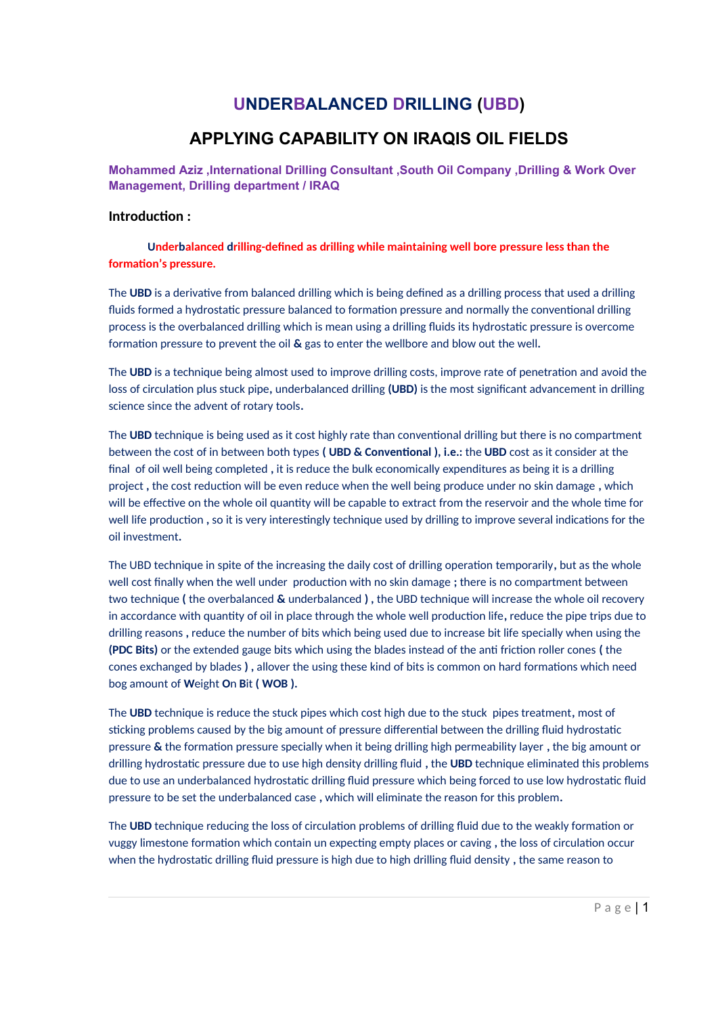# **UNDERBALANCED DRILLING (UBD)**

# **APPLYING CAPABILITY ON IRAQIS OIL FIELDS**

**Mohammed Aziz ,International Drilling Consultant ,South Oil Company ,Drilling & Work Over Management, Drilling department / IRAQ**

### **Introduction :**

 **Underbalanced drilling-defined as drilling while maintaining well bore pressure less than the formation's pressure.**

The **UBD** is a derivative from balanced drilling which is being defined as a drilling process that used a drilling fluids formed a hydrostatic pressure balanced to formation pressure and normally the conventional drilling process is the overbalanced drilling which is mean using a drilling fluids its hydrostatic pressure is overcome formation pressure to prevent the oil **&** gas to enter the wellbore and blow out the well**.**

The **UBD** is a technique being almost used to improve drilling costs, improve rate of penetration and avoid the loss of circulation plus stuck pipe**,** underbalanced drilling **(UBD)** is the most significant advancement in drilling science since the advent of rotary tools**.**

The **UBD** technique is being used as it cost highly rate than conventional drilling but there is no compartment between the cost of in between both types **( UBD & Conventional ), i.e.:** the **UBD** cost as it consider at the final of oil well being completed **,** it is reduce the bulk economically expenditures as being it is a drilling project **,** the cost reduction will be even reduce when the well being produce under no skin damage **,** which will be effective on the whole oil quantity will be capable to extract from the reservoir and the whole time for well life production **,** so it is very interestingly technique used by drilling to improve several indications for the oil investment**.**

The UBD technique in spite of the increasing the daily cost of drilling operation temporarily**,** but as the whole well cost finally when the well under production with no skin damage **;** there is no compartment between two technique **(** the overbalanced **&** underbalanced **) ,** the UBD technique will increase the whole oil recovery in accordance with quantity of oil in place through the whole well production life**,** reduce the pipe trips due to drilling reasons **,** reduce the number of bits which being used due to increase bit life specially when using the **(PDC Bits)** or the extended gauge bits which using the blades instead of the anti friction roller cones **(** the cones exchanged by blades **) ,** allover the using these kind of bits is common on hard formations which need bog amount of **W**eight **O**n **B**it **( WOB ).**

The **UBD** technique is reduce the stuck pipes which cost high due to the stuck pipes treatment**,** most of sticking problems caused by the big amount of pressure differential between the drilling fluid hydrostatic pressure **&** the formation pressure specially when it being drilling high permeability layer **,** the big amount or drilling hydrostatic pressure due to use high density drilling fluid **,** the **UBD** technique eliminated this problems due to use an underbalanced hydrostatic drilling fluid pressure which being forced to use low hydrostatic fluid pressure to be set the underbalanced case **,** which will eliminate the reason for this problem**.**

The **UBD** technique reducing the loss of circulation problems of drilling fluid due to the weakly formation or vuggy limestone formation which contain un expecting empty places or caving **,** the loss of circulation occur when the hydrostatic drilling fluid pressure is high due to high drilling fluid density **,** the same reason to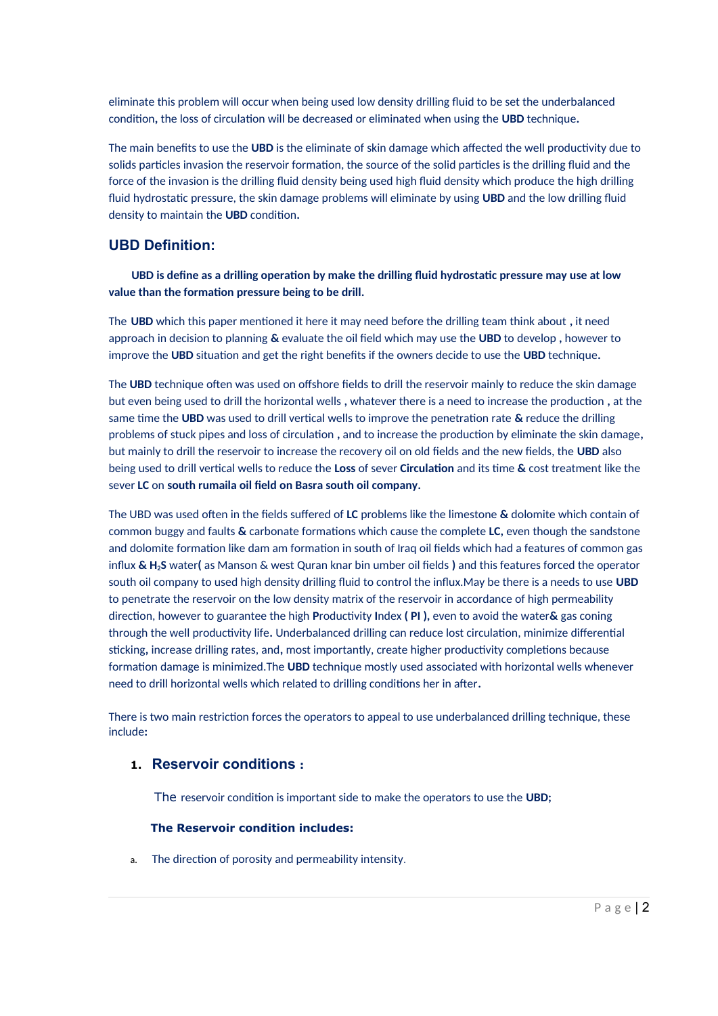eliminate this problem will occur when being used low density drilling fluid to be set the underbalanced condition**,** the loss of circulation will be decreased or eliminated when using the **UBD** technique**.**

The main benefits to use the **UBD** is the eliminate of skin damage which affected the well productivity due to solids particles invasion the reservoir formation, the source of the solid particles is the drilling fluid and the force of the invasion is the drilling fluid density being used high fluid density which produce the high drilling fluid hydrostatic pressure, the skin damage problems will eliminate by using **UBD** and the low drilling fluid density to maintain the **UBD** condition**.**

## **UBD Definition:**

 **UBD is define as a drilling operation by make the drilling fluid hydrostatic pressure may use at low value than the formation pressure being to be drill.**

The **UBD** which this paper mentioned it here it may need before the drilling team think about **,** it need approach in decision to planning **&** evaluate the oil field which may use the **UBD** to develop **,** however to improve the **UBD** situation and get the right benefits if the owners decide to use the **UBD** technique**.**

The **UBD** technique often was used on offshore fields to drill the reservoir mainly to reduce the skin damage but even being used to drill the horizontal wells **,** whatever there is a need to increase the production **,** at the same time the **UBD** was used to drill vertical wells to improve the penetration rate **&** reduce the drilling problems of stuck pipes and loss of circulation **,** and to increase the production by eliminate the skin damage**,** but mainly to drill the reservoir to increase the recovery oil on old fields and the new fields, the **UBD** also being used to drill vertical wells to reduce the **Loss** of sever **Circulation** and its time **&** cost treatment like the sever **LC** on **south rumaila oil field on Basra south oil company.**

The UBD was used often in the fields suffered of **LC** problems like the limestone **&** dolomite which contain of common buggy and faults **&** carbonate formations which cause the complete **LC,** even though the sandstone and dolomite formation like dam am formation in south of Iraq oil fields which had a features of common gas influx **& H2S** water**(** as Manson & west Quran knar bin umber oil fields **)** and this features forced the operator south oil company to used high density drilling fluid to control the influx.May be there is a needs to use **UBD** to penetrate the reservoir on the low density matrix of the reservoir in accordance of high permeability direction, however to guarantee the high **P**roductivity **I**ndex **( PI ),** even to avoid the water**&** gas coning through the well productivity life**.** Underbalanced drilling can reduce lost circulation, minimize differential sticking**,** increase drilling rates, and**,** most importantly, create higher productivity completions because formation damage is minimized.The **UBD** technique mostly used associated with horizontal wells whenever need to drill horizontal wells which related to drilling conditions her in after**.**

There is two main restriction forces the operators to appeal to use underbalanced drilling technique, these include**:**

## **1. Reservoir conditions :**

The reservoir condition is important side to make the operators to use the **UBD;**

#### **The Reservoir condition includes:**

a. The direction of porosity and permeability intensity.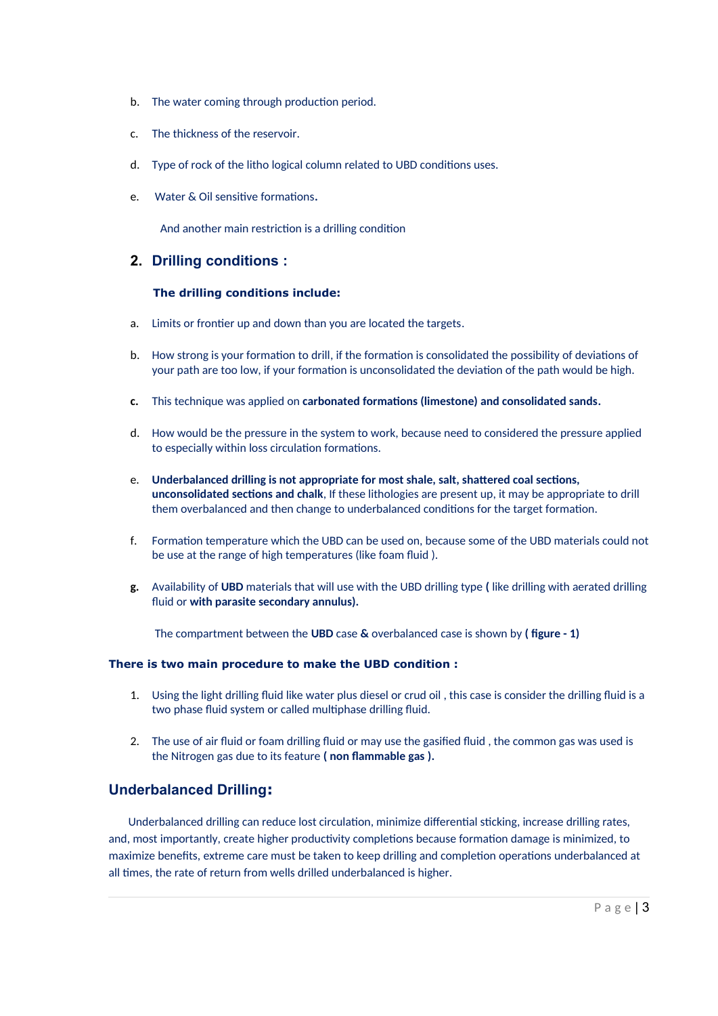- b. The water coming through production period.
- c. The thickness of the reservoir.
- d. Type of rock of the litho logical column related to UBD conditions uses.
- e. Water & Oil sensitive formations**.**

And another main restriction is a drilling condition

## **2. Drilling conditions :**

### **The drilling conditions include:**

- a. Limits or frontier up and down than you are located the targets.
- b. How strong is your formation to drill, if the formation is consolidated the possibility of deviations of your path are too low, if your formation is unconsolidated the deviation of the path would be high.
- **c.** This technique was applied on **carbonated formations (limestone) and consolidated sands.**
- d. How would be the pressure in the system to work, because need to considered the pressure applied to especially within loss circulation formations.
- e. **Underbalanced drilling is not appropriate for most shale, salt, shattered coal sections, unconsolidated sections and chalk**, If these lithologies are present up, it may be appropriate to drill them overbalanced and then change to underbalanced conditions for the target formation.
- f. Formation temperature which the UBD can be used on, because some of the UBD materials could not be use at the range of high temperatures (like foam fluid ).
- **g.** Availability of **UBD** materials that will use with the UBD drilling type **(** like drilling with aerated drilling fluid or **with parasite secondary annulus).**

The compartment between the **UBD** case **&** overbalanced case is shown by **( figure - 1)**

### **There is two main procedure to make the UBD condition :**

- 1. Using the light drilling fluid like water plus diesel or crud oil , this case is consider the drilling fluid is a two phase fluid system or called multiphase drilling fluid.
- 2. The use of air fluid or foam drilling fluid or may use the gasified fluid , the common gas was used is the Nitrogen gas due to its feature **( non flammable gas ).**

# **Underbalanced Drilling:**

 Underbalanced drilling can reduce lost circulation, minimize differential sticking, increase drilling rates, and, most importantly, create higher productivity completions because formation damage is minimized, to maximize benefits, extreme care must be taken to keep drilling and completion operations underbalanced at all times, the rate of return from wells drilled underbalanced is higher.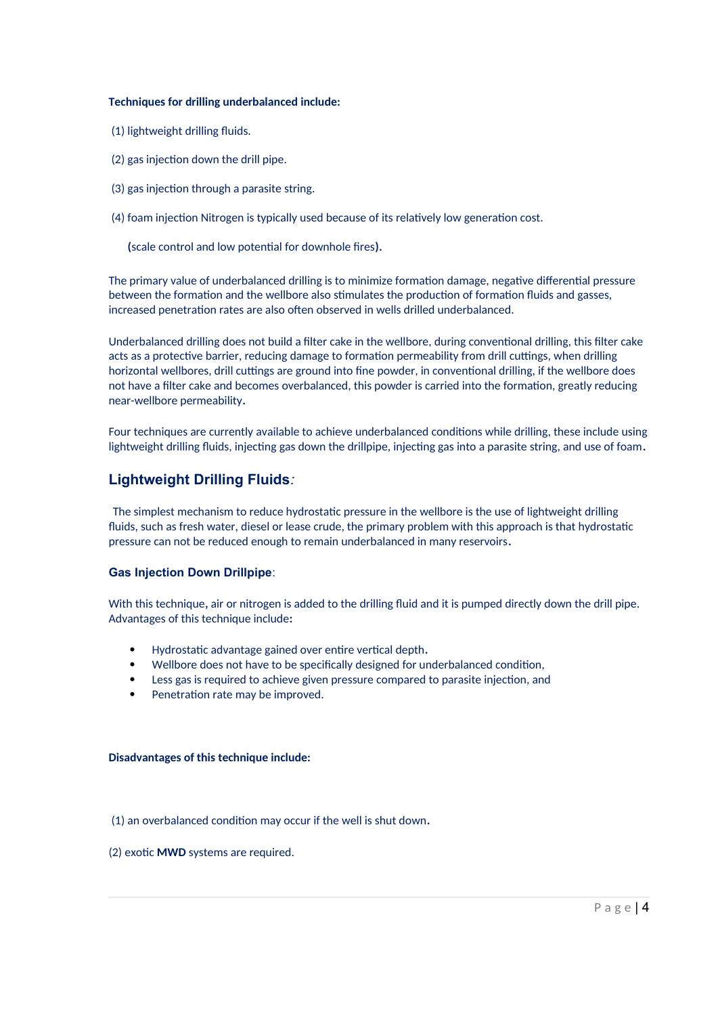### **Techniques for drilling underbalanced include:**

- (1) lightweight drilling fluids.
- (2) gas injection down the drill pipe.
- (3) gas injection through a parasite string.
- (4) foam injection Nitrogen is typically used because of its relatively low generation cost.

 **(**scale control and low potential for downhole fires**).**

The primary value of underbalanced drilling is to minimize formation damage, negative differential pressure between the formation and the wellbore also stimulates the production of formation fluids and gasses, increased penetration rates are also often observed in wells drilled underbalanced.

Underbalanced drilling does not build a filter cake in the wellbore, during conventional drilling, this filter cake acts as a protective barrier, reducing damage to formation permeability from drill cuttings, when drilling horizontal wellbores, drill cuttings are ground into fine powder, in conventional drilling, if the wellbore does not have a filter cake and becomes overbalanced, this powder is carried into the formation, greatly reducing near-wellbore permeability**.**

Four techniques are currently available to achieve underbalanced conditions while drilling, these include using lightweight drilling fluids, injecting gas down the drillpipe, injecting gas into a parasite string, and use of foam**.**

# **Lightweight Drilling Fluids***:*

The simplest mechanism to reduce hydrostatic pressure in the wellbore is the use of lightweight drilling fluids, such as fresh water, diesel or lease crude, the primary problem with this approach is that hydrostatic pressure can not be reduced enough to remain underbalanced in many reservoirs**.**

### **Gas Injection Down Drillpipe**:

With this technique**,** air or nitrogen is added to the drilling fluid and it is pumped directly down the drill pipe. Advantages of this technique include**:**

- Hydrostatic advantage gained over entire vertical depth**.**
- Wellbore does not have to be specifically designed for underbalanced condition,
- Less gas is required to achieve given pressure compared to parasite injection, and
- Penetration rate may be improved.

### **Disadvantages of this technique include:**

(1) an overbalanced condition may occur if the well is shut down**.**

(2) exotic **MWD** systems are required.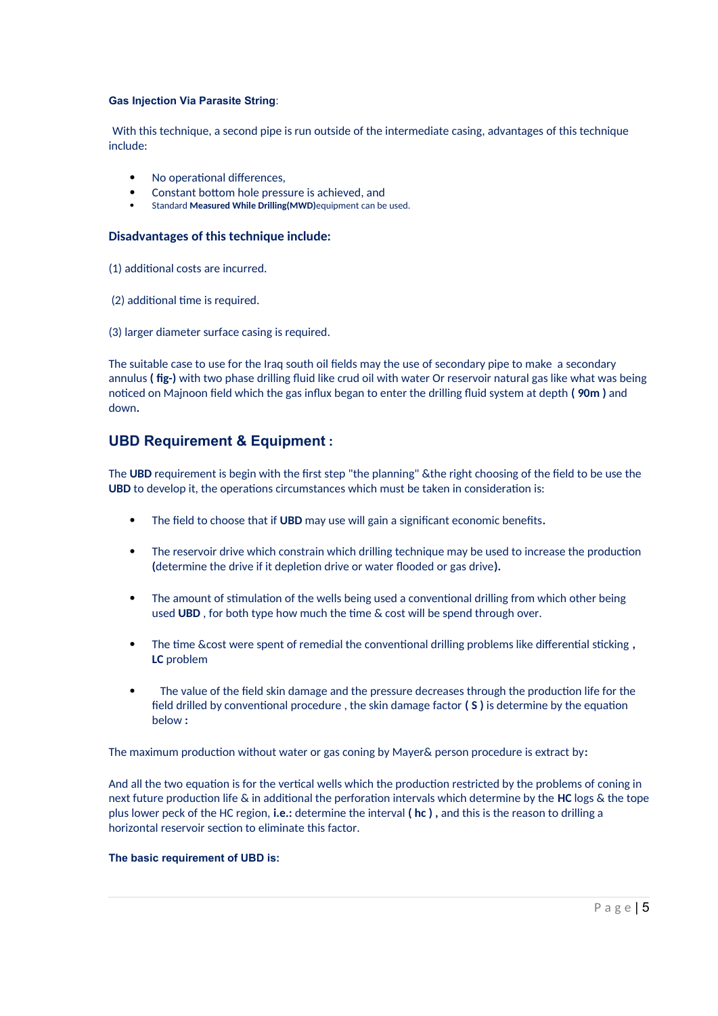#### **Gas Injection Via Parasite String**:

With this technique, a second pipe is run outside of the intermediate casing, advantages of this technique include:

- No operational differences,
- Constant bottom hole pressure is achieved, and
- Standard **Measured While Drilling(MWD)**equipment can be used.

### **Disadvantages of this technique include:**

- (1) additional costs are incurred.
- (2) additional time is required.
- (3) larger diameter surface casing is required.

The suitable case to use for the Iraq south oil fields may the use of secondary pipe to make a secondary annulus **( fig-)** with two phase drilling fluid like crud oil with water Or reservoir natural gas like what was being noticed on Majnoon field which the gas influx began to enter the drilling fluid system at depth **( 90m )** and down**.**

# **UBD Requirement & Equipment :**

The **UBD** requirement is begin with the first step "the planning" &the right choosing of the field to be use the **UBD** to develop it, the operations circumstances which must be taken in consideration is:

- The field to choose that if **UBD** may use will gain a significant economic benefits**.**
- The reservoir drive which constrain which drilling technique may be used to increase the production **(**determine the drive if it depletion drive or water flooded or gas drive**).**
- The amount of stimulation of the wells being used a conventional drilling from which other being used **UBD** , for both type how much the time & cost will be spend through over.
- The time &cost were spent of remedial the conventional drilling problems like differential sticking **, LC** problem
- The value of the field skin damage and the pressure decreases through the production life for the field drilled by conventional procedure , the skin damage factor **( S )** is determine by the equation below **:**

The maximum production without water or gas coning by Mayer& person procedure is extract by**:**

And all the two equation is for the vertical wells which the production restricted by the problems of coning in next future production life & in additional the perforation intervals which determine by the **HC** logs & the tope plus lower peck of the HC region, **i.e.:** determine the interval **( hc ) ,** and this is the reason to drilling a horizontal reservoir section to eliminate this factor.

### **The basic requirement of UBD is:**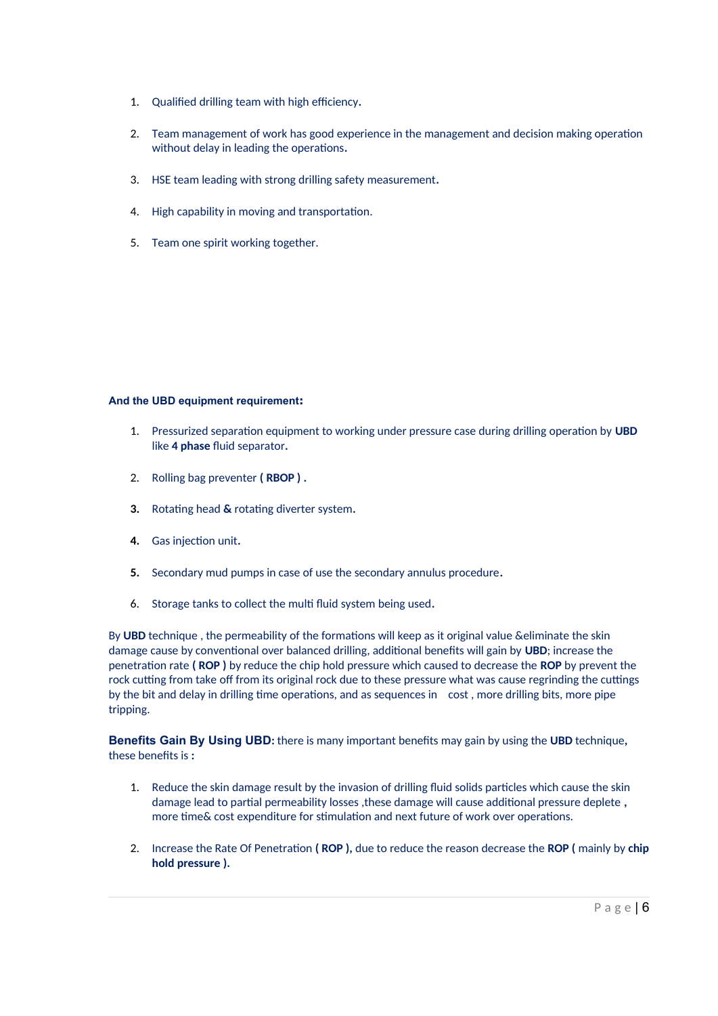- 1. Qualified drilling team with high efficiency**.**
- 2. Team management of work has good experience in the management and decision making operation without delay in leading the operations**.**
- 3. HSE team leading with strong drilling safety measurement**.**
- 4. High capability in moving and transportation.
- 5. Team one spirit working together.

### **And the UBD equipment requirement:**

- 1. Pressurized separation equipment to working under pressure case during drilling operation by **UBD** like **4 phase** fluid separator**.**
- 2. Rolling bag preventer **( RBOP ) .**
- **3.** Rotating head **&** rotating diverter system**.**
- **4.** Gas injection unit**.**
- **5.** Secondary mud pumps in case of use the secondary annulus procedure**.**
- 6. Storage tanks to collect the multi fluid system being used**.**

By **UBD** technique , the permeability of the formations will keep as it original value &eliminate the skin damage cause by conventional over balanced drilling, additional benefits will gain by **UBD**; increase the penetration rate **( ROP )** by reduce the chip hold pressure which caused to decrease the **ROP** by prevent the rock cutting from take off from its original rock due to these pressure what was cause regrinding the cuttings by the bit and delay in drilling time operations, and as sequences in cost , more drilling bits, more pipe tripping.

**Benefits Gain By Using UBD:** there is many important benefits may gain by using the **UBD** technique**,** these benefits is **:**

- 1. Reduce the skin damage result by the invasion of drilling fluid solids particles which cause the skin damage lead to partial permeability losses ,these damage will cause additional pressure deplete **,** more time& cost expenditure for stimulation and next future of work over operations.
- 2. Increase the Rate Of Penetration **( ROP ),** due to reduce the reason decrease the **ROP (** mainly by **chip hold pressure ).**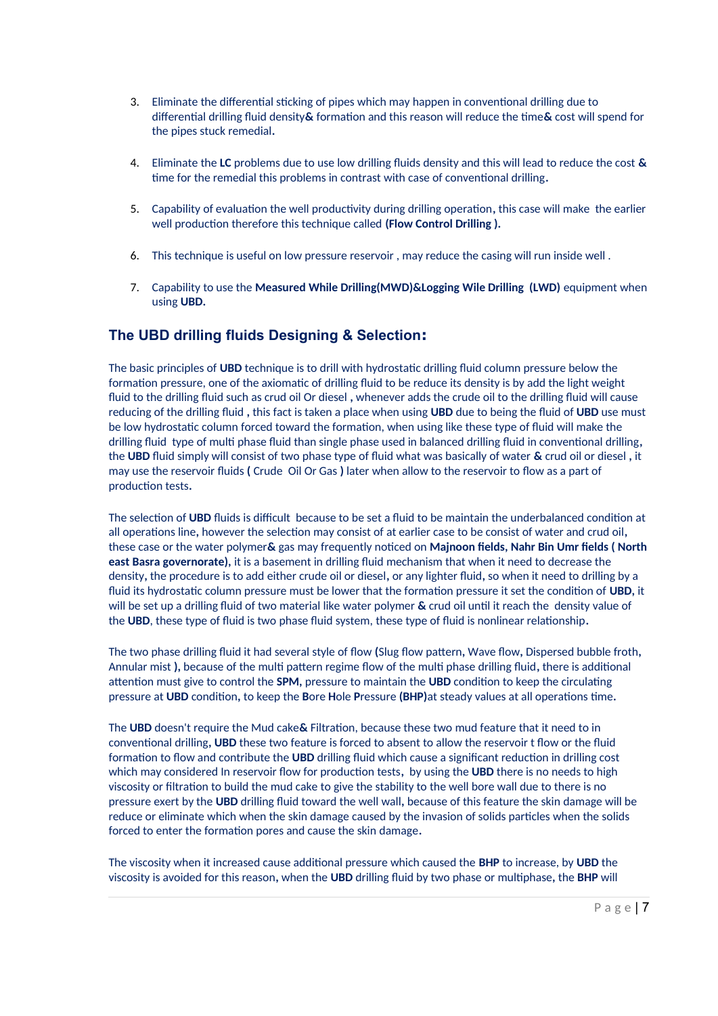- 3. Eliminate the differential sticking of pipes which may happen in conventional drilling due to differential drilling fluid density**&** formation and this reason will reduce the time**&** cost will spend for the pipes stuck remedial**.**
- 4. Eliminate the **LC** problems due to use low drilling fluids density and this will lead to reduce the cost **&** time for the remedial this problems in contrast with case of conventional drilling**.**
- 5. Capability of evaluation the well productivity during drilling operation**,** this case will make the earlier well production therefore this technique called **(Flow Control Drilling ).**
- 6. This technique is useful on low pressure reservoir , may reduce the casing will run inside well .
- 7. Capability to use the **Measured While Drilling(MWD)&Logging Wile Drilling (LWD)** equipment when using **UBD.**

# **The UBD drilling fluids Designing & Selection:**

The basic principles of **UBD** technique is to drill with hydrostatic drilling fluid column pressure below the formation pressure, one of the axiomatic of drilling fluid to be reduce its density is by add the light weight fluid to the drilling fluid such as crud oil Or diesel **,** whenever adds the crude oil to the drilling fluid will cause reducing of the drilling fluid **,** this fact is taken a place when using **UBD** due to being the fluid of **UBD** use must be low hydrostatic column forced toward the formation, when using like these type of fluid will make the drilling fluid type of multi phase fluid than single phase used in balanced drilling fluid in conventional drilling**,** the **UBD** fluid simply will consist of two phase type of fluid what was basically of water **&** crud oil or diesel **,** it may use the reservoir fluids **(** Crude Oil Or Gas **)** later when allow to the reservoir to flow as a part of production tests**.**

The selection of **UBD** fluids is difficult because to be set a fluid to be maintain the underbalanced condition at all operations line**,** however the selection may consist of at earlier case to be consist of water and crud oil**,** these case or the water polymer**&** gas may frequently noticed on **Majnoon fields, Nahr Bin Umr fields ( North east Basra governorate),** it is a basement in drilling fluid mechanism that when it need to decrease the density**,** the procedure is to add either crude oil or diesel**,** or any lighter fluid**,** so when it need to drilling by a fluid its hydrostatic column pressure must be lower that the formation pressure it set the condition of **UBD,** it will be set up a drilling fluid of two material like water polymer **&** crud oil until it reach the density value of the **UBD**, these type of fluid is two phase fluid system, these type of fluid is nonlinear relationship**.**

The two phase drilling fluid it had several style of flow **(**Slug flow pattern**,** Wave flow**,** Dispersed bubble froth**,** Annular mist **),** because of the multi pattern regime flow of the multi phase drilling fluid**,** there is additional attention must give to control the **SPM,** pressure to maintain the **UBD** condition to keep the circulating pressure at **UBD** condition**,** to keep the **B**ore **H**ole **P**ressure **(BHP)**at steady values at all operations time**.**

The **UBD** doesn't require the Mud cake**&** Filtration, because these two mud feature that it need to in conventional drilling**, UBD** these two feature is forced to absent to allow the reservoir t flow or the fluid formation to flow and contribute the **UBD** drilling fluid which cause a significant reduction in drilling cost which may considered In reservoir flow for production tests**,** by using the **UBD** there is no needs to high viscosity or filtration to build the mud cake to give the stability to the well bore wall due to there is no pressure exert by the **UBD** drilling fluid toward the well wall**,** because of this feature the skin damage will be reduce or eliminate which when the skin damage caused by the invasion of solids particles when the solids forced to enter the formation pores and cause the skin damage**.**

The viscosity when it increased cause additional pressure which caused the **BHP** to increase, by **UBD** the viscosity is avoided for this reason**,** when the **UBD** drilling fluid by two phase or multiphase**,** the **BHP** will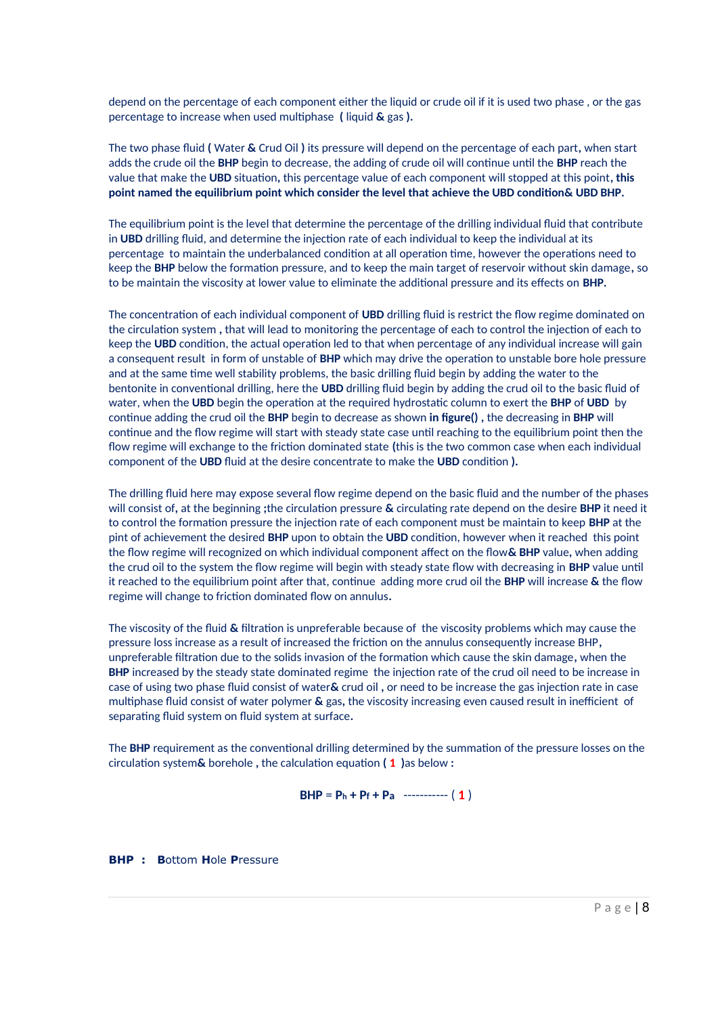depend on the percentage of each component either the liquid or crude oil if it is used two phase , or the gas percentage to increase when used multiphase **(** liquid **&** gas **).**

The two phase fluid **(** Water **&** Crud Oil **)** its pressure will depend on the percentage of each part**,** when start adds the crude oil the **BHP** begin to decrease, the adding of crude oil will continue until the **BHP** reach the value that make the **UBD** situation**,** this percentage value of each component will stopped at this point**, this point named the equilibrium point which consider the level that achieve the UBD condition& UBD BHP.**

The equilibrium point is the level that determine the percentage of the drilling individual fluid that contribute in **UBD** drilling fluid, and determine the injection rate of each individual to keep the individual at its percentage to maintain the underbalanced condition at all operation time, however the operations need to keep the **BHP** below the formation pressure, and to keep the main target of reservoir without skin damage**,** so to be maintain the viscosity at lower value to eliminate the additional pressure and its effects on **BHP.**

The concentration of each individual component of **UBD** drilling fluid is restrict the flow regime dominated on the circulation system **,** that will lead to monitoring the percentage of each to control the injection of each to keep the **UBD** condition, the actual operation led to that when percentage of any individual increase will gain a consequent result in form of unstable of **BHP** which may drive the operation to unstable bore hole pressure and at the same time well stability problems, the basic drilling fluid begin by adding the water to the bentonite in conventional drilling, here the **UBD** drilling fluid begin by adding the crud oil to the basic fluid of water, when the **UBD** begin the operation at the required hydrostatic column to exert the **BHP** of **UBD** by continue adding the crud oil the **BHP** begin to decrease as shown **in figure() ,** the decreasing in **BHP** will continue and the flow regime will start with steady state case until reaching to the equilibrium point then the flow regime will exchange to the friction dominated state **(**this is the two common case when each individual component of the **UBD** fluid at the desire concentrate to make the **UBD** condition **).**

The drilling fluid here may expose several flow regime depend on the basic fluid and the number of the phases will consist of**,** at the beginning **;**the circulation pressure **&** circulating rate depend on the desire **BHP** it need it to control the formation pressure the injection rate of each component must be maintain to keep **BHP** at the pint of achievement the desired **BHP** upon to obtain the **UBD** condition, however when it reached this point the flow regime will recognized on which individual component affect on the flow**& BHP** value**,** when adding the crud oil to the system the flow regime will begin with steady state flow with decreasing in **BHP** value until it reached to the equilibrium point after that, continue adding more crud oil the **BHP** will increase **&** the flow regime will change to friction dominated flow on annulus**.**

The viscosity of the fluid **&** filtration is unpreferable because of the viscosity problems which may cause the pressure loss increase as a result of increased the friction on the annulus consequently increase BHP**,** unpreferable filtration due to the solids invasion of the formation which cause the skin damage**,** when the **BHP** increased by the steady state dominated regime the injection rate of the crud oil need to be increase in case of using two phase fluid consist of water**&** crud oil **,** or need to be increase the gas injection rate in case multiphase fluid consist of water polymer **&** gas**,** the viscosity increasing even caused result in inefficient of separating fluid system on fluid system at surface**.**

The **BHP** requirement as the conventional drilling determined by the summation of the pressure losses on the circulation system**&** borehole **,** the calculation equation **( 1 )**as below **:**

**BHP** = **Ph + Pf + Pa** ----------- ( **1** )

**BHP : B**ottom **H**ole **P**ressure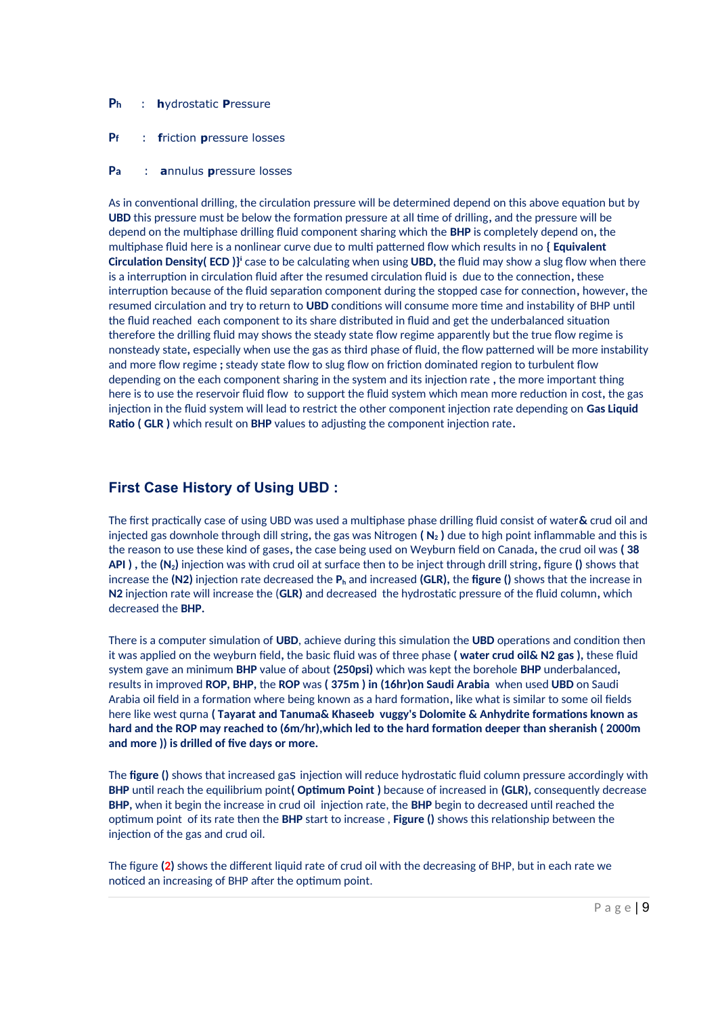- **Ph** : **h**ydrostatic **P**ressure
- **Pf** : **f**riction **p**ressure losses
- **Pa** : **a**nnulus **p**ressure losses

As in conventional drilling, the circulation pressure will be determined depend on this above equation but by **UBD** this pressure must be below the formation pressure at all time of drilling**,** and the pressure will be depend on the multiphase drilling fluid component sharing which the **BHP** is completely depend on**,** the multiphase fluid here is a nonlinear curve due to multi patterned flow which results in no **{ Equivalent Circulation Density( ECD )}<sup>i</sup> case to be calculating when using UBD, the fluid may show a slug flow when there** is a interruption in circulation fluid after the resumed circulation fluid is due to the connection**,** these interruption because of the fluid separation component during the stopped case for connection**,** however**,** the resumed circulation and try to return to **UBD** conditions will consume more time and instability of BHP until the fluid reached each component to its share distributed in fluid and get the underbalanced situation therefore the drilling fluid may shows the steady state flow regime apparently but the true flow regime is nonsteady state**,** especially when use the gas as third phase of fluid, the flow patterned will be more instability and more flow regime **;** steady state flow to slug flow on friction dominated region to turbulent flow depending on the each component sharing in the system and its injection rate **,** the more important thing here is to use the reservoir fluid flow to support the fluid system which mean more reduction in cost**,** the gas injection in the fluid system will lead to restrict the other component injection rate depending on **Gas Liquid Ratio ( GLR )** which result on **BHP** values to adjusting the component injection rate**.**

# **First Case History of Using UBD :**

The first practically case of using UBD was used a multiphase phase drilling fluid consist of water**&** crud oil and injected gas downhole through dill string**,** the gas was Nitrogen **( N2 )** due to high point inflammable and this is the reason to use these kind of gases**,** the case being used on Weyburn field on Canada**,** the crud oil was **( 38 API ) ,** the **(N2)** injection was with crud oil at surface then to be inject through drill string**,** figure **()** shows that increase the **(N2)** injection rate decreased the **Ph** and increased **(GLR),** the **figure ()** shows that the increase in **N2** injection rate will increase the (**GLR)** and decreased the hydrostatic pressure of the fluid column**,** which decreased the **BHP.**

There is a computer simulation of **UBD**, achieve during this simulation the **UBD** operations and condition then it was applied on the weyburn field**,** the basic fluid was of three phase **( water crud oil& N2 gas ),** these fluid system gave an minimum **BHP** value of about **(250psi)** which was kept the borehole **BHP** underbalanced**,** results in improved **ROP, BHP,** the **ROP** was **( 375m ) in (16hr)on Saudi Arabia** when used **UBD** on Saudi Arabia oil field in a formation where being known as a hard formation**,** like what is similar to some oil fields here like west qurna **( Tayarat and Tanuma& Khaseeb vuggy's Dolomite & Anhydrite formations known as hard and the ROP may reached to (6m/hr),which led to the hard formation deeper than sheranish ( 2000m and more )) is drilled of five days or more.**

The **figure ()** shows that increased gas injection will reduce hydrostatic fluid column pressure accordingly with **BHP** until reach the equilibrium point**( Optimum Point )** because of increased in **(GLR),** consequently decrease **BHP,** when it begin the increase in crud oil injection rate, the **BHP** begin to decreased until reached the optimum point of its rate then the **BHP** start to increase , **Figure ()** shows this relationship between the injection of the gas and crud oil.

The figure **(2)** shows the different liquid rate of crud oil with the decreasing of BHP, but in each rate we noticed an increasing of BHP after the optimum point.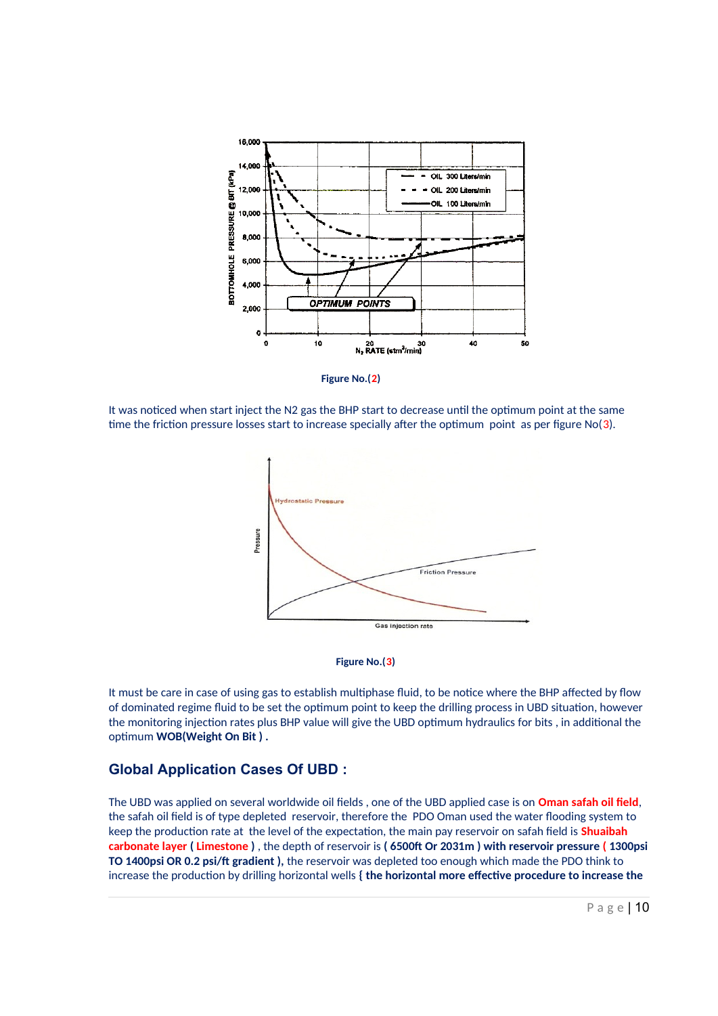

 **Figure No.(2)**

It was noticed when start inject the N2 gas the BHP start to decrease until the optimum point at the same time the friction pressure losses start to increase specially after the optimum point as per figure No(3).





It must be care in case of using gas to establish multiphase fluid, to be notice where the BHP affected by flow of dominated regime fluid to be set the optimum point to keep the drilling process in UBD situation, however the monitoring injection rates plus BHP value will give the UBD optimum hydraulics for bits , in additional the optimum **WOB(Weight On Bit ) .**

# **Global Application Cases Of UBD :**

The UBD was applied on several worldwide oil fields , one of the UBD applied case is on **Oman safah oil field**, the safah oil field is of type depleted reservoir, therefore the PDO Oman used the water flooding system to keep the production rate at the level of the expectation, the main pay reservoir on safah field is **Shuaibah carbonate layer ( Limestone )** , the depth of reservoir is **( 6500ft Or 2031m ) with reservoir pressure ( 1300psi TO 1400psi OR 0.2 psi/ft gradient ),** the reservoir was depleted too enough which made the PDO think to increase the production by drilling horizontal wells **{ the horizontal more effective procedure to increase the**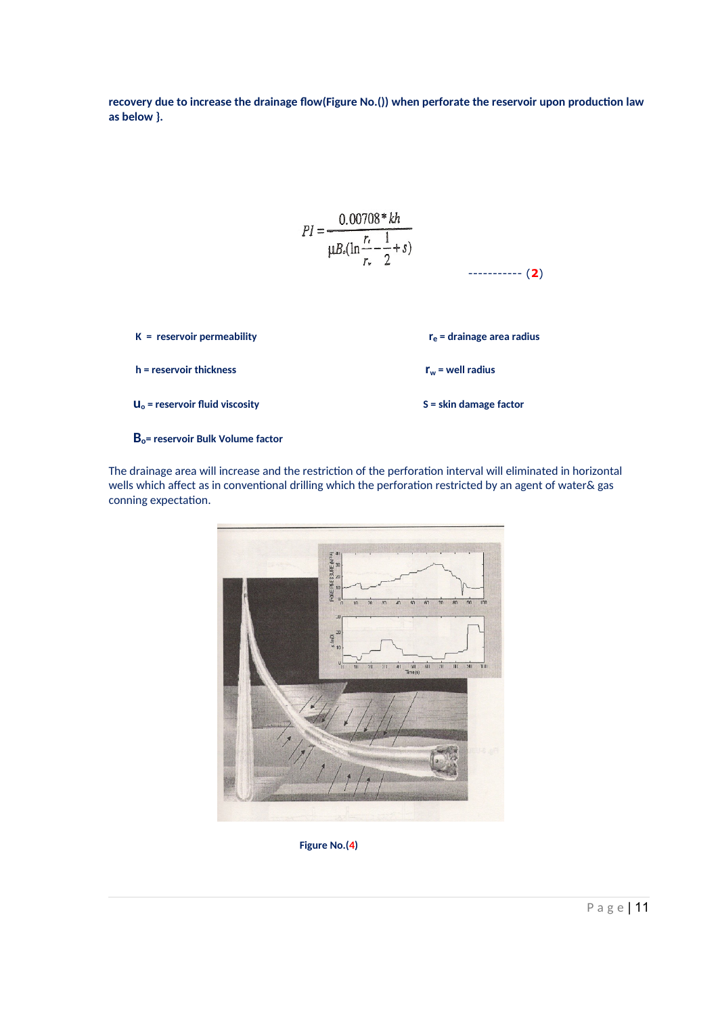**recovery due to increase the drainage flow(Figure No.()) when perforate the reservoir upon production law as below }.** 

$$
PI = \frac{0.00708 * kh}{\mu B_o (\ln \frac{r_c}{r_w} - \frac{1}{2} + s)}
$$
................. (2)  
\nK = reservoir permeability  
\nh = reservoir thickness  
\n $r_w$  = well radius  
\n $u_o$  = reservoir fluid viscosity  
\nS = skin damage factor

 **Bo= reservoir Bulk Volume factor** 

The drainage area will increase and the restriction of the perforation interval will eliminated in horizontal wells which affect as in conventional drilling which the perforation restricted by an agent of water& gas conning expectation.



**Figure No.(4)**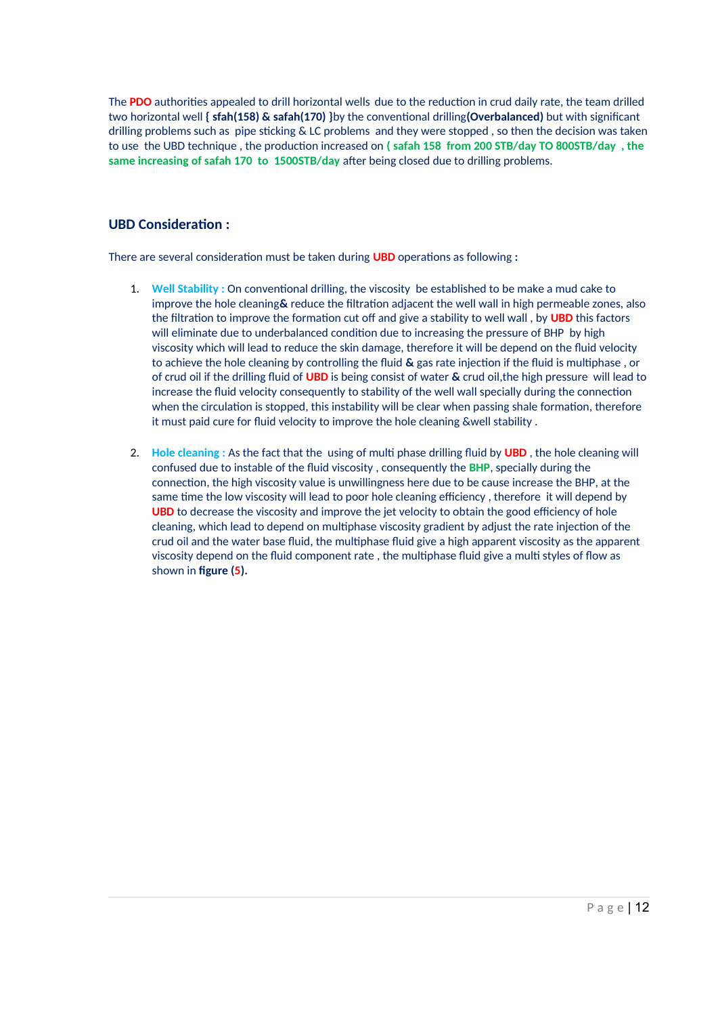The **PDO** authorities appealed to drill horizontal wells due to the reduction in crud daily rate, the team drilled two horizontal well **{ sfah(158) & safah(170) }**by the conventional drilling**(Overbalanced)** but with significant drilling problems such as pipe sticking & LC problems and they were stopped , so then the decision was taken to use the UBD technique , the production increased on **( safah 158 from 200 STB/day TO 800STB/day , the same increasing of safah 170 to 1500STB/day** after being closed due to drilling problems.

# **UBD Consideration :**

There are several consideration must be taken during **UBD** operations as following **:**

- 1. **Well Stability :** On conventional drilling, the viscosity be established to be make a mud cake to improve the hole cleaning**&** reduce the filtration adjacent the well wall in high permeable zones, also the filtration to improve the formation cut off and give a stability to well wall , by **UBD** this factors will eliminate due to underbalanced condition due to increasing the pressure of BHP by high viscosity which will lead to reduce the skin damage, therefore it will be depend on the fluid velocity to achieve the hole cleaning by controlling the fluid **&** gas rate injection if the fluid is multiphase , or of crud oil if the drilling fluid of **UBD** is being consist of water **&** crud oil,the high pressure will lead to increase the fluid velocity consequently to stability of the well wall specially during the connection when the circulation is stopped, this instability will be clear when passing shale formation, therefore it must paid cure for fluid velocity to improve the hole cleaning &well stability .
- 2. **Hole cleaning :** As the fact that the using of multi phase drilling fluid by **UBD** , the hole cleaning will confused due to instable of the fluid viscosity , consequently the **BHP**, specially during the connection, the high viscosity value is unwillingness here due to be cause increase the BHP, at the same time the low viscosity will lead to poor hole cleaning efficiency , therefore it will depend by **UBD** to decrease the viscosity and improve the jet velocity to obtain the good efficiency of hole cleaning, which lead to depend on multiphase viscosity gradient by adjust the rate injection of the crud oil and the water base fluid, the multiphase fluid give a high apparent viscosity as the apparent viscosity depend on the fluid component rate , the multiphase fluid give a multi styles of flow as shown in **figure (5).**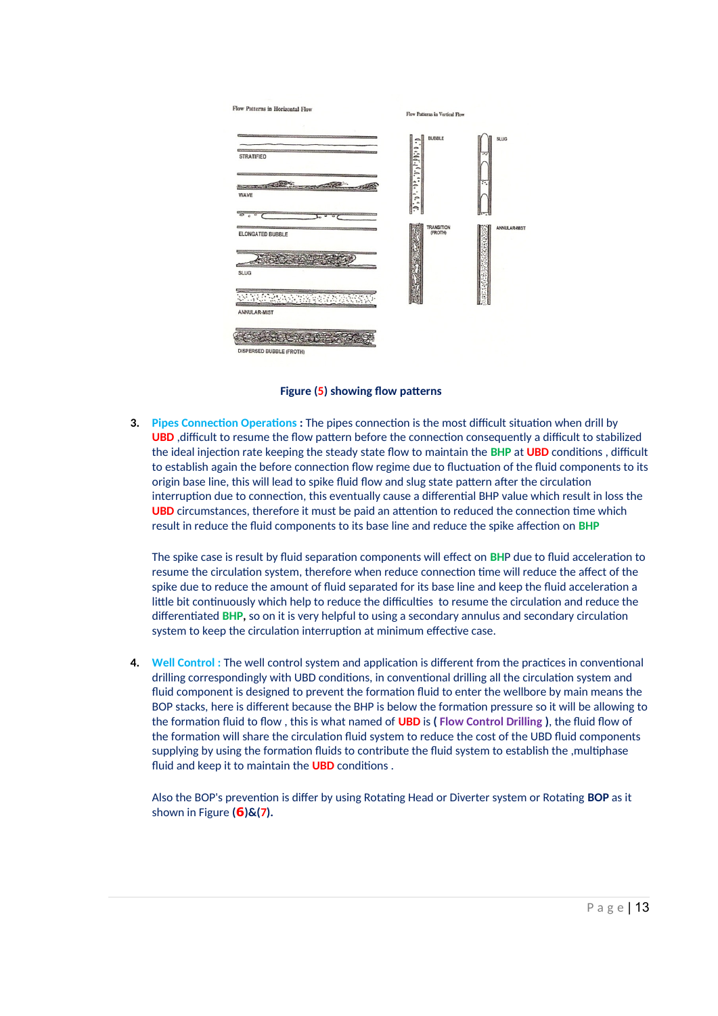

**Figure (5) showing flow patterns** 

**3. Pipes Connection Operations :** The pipes connection is the most difficult situation when drill by **UBD** ,difficult to resume the flow pattern before the connection consequently a difficult to stabilized the ideal injection rate keeping the steady state flow to maintain the **BHP** at **UBD** conditions , difficult to establish again the before connection flow regime due to fluctuation of the fluid components to its origin base line, this will lead to spike fluid flow and slug state pattern after the circulation interruption due to connection, this eventually cause a differential BHP value which result in loss the **UBD** circumstances, therefore it must be paid an attention to reduced the connection time which result in reduce the fluid components to its base line and reduce the spike affection on **BHP** 

The spike case is result by fluid separation components will effect on **BH**P due to fluid acceleration to resume the circulation system, therefore when reduce connection time will reduce the affect of the spike due to reduce the amount of fluid separated for its base line and keep the fluid acceleration a little bit continuously which help to reduce the difficulties to resume the circulation and reduce the differentiated **BHP,** so on it is very helpful to using a secondary annulus and secondary circulation system to keep the circulation interruption at minimum effective case.

**4. Well Control :** The well control system and application is different from the practices in conventional drilling correspondingly with UBD conditions, in conventional drilling all the circulation system and fluid component is designed to prevent the formation fluid to enter the wellbore by main means the BOP stacks, here is different because the BHP is below the formation pressure so it will be allowing to the formation fluid to flow , this is what named of **UBD** is **( Flow Control Drilling )**, the fluid flow of the formation will share the circulation fluid system to reduce the cost of the UBD fluid components supplying by using the formation fluids to contribute the fluid system to establish the ,multiphase fluid and keep it to maintain the **UBD** conditions .

Also the BOP's prevention is differ by using Rotating Head or Diverter system or Rotating **BOP** as it shown in Figure **(6)&(7).**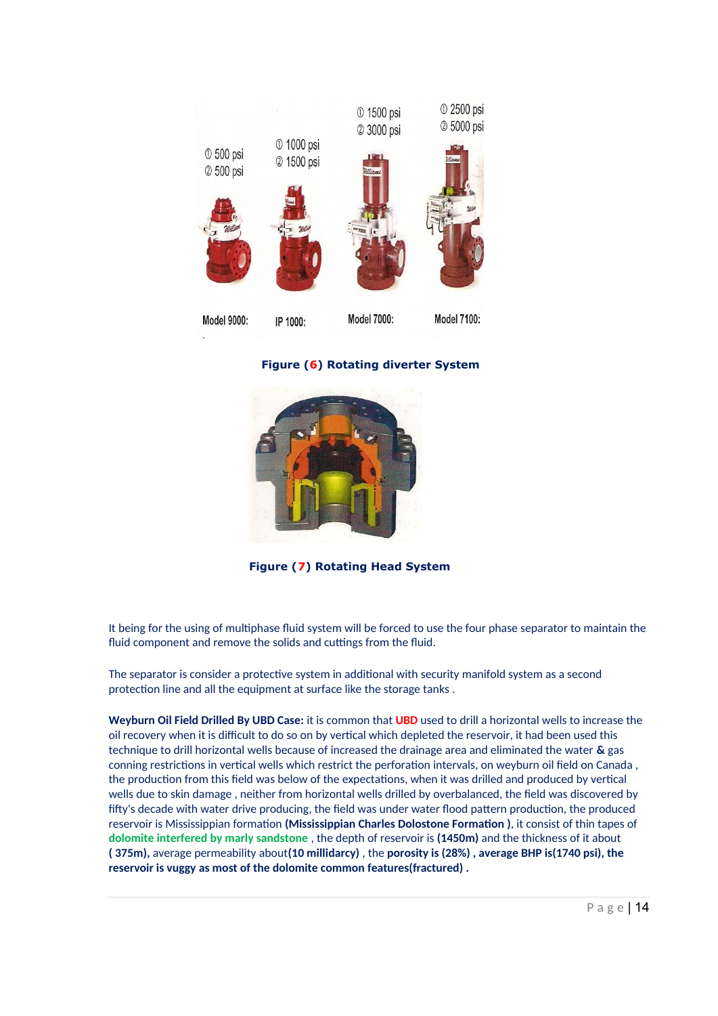

**Figure (6) Rotating diverter System** 

![](_page_14_Picture_2.jpeg)

 **Figure (7) Rotating Head System**

It being for the using of multiphase fluid system will be forced to use the four phase separator to maintain the fluid component and remove the solids and cuttings from the fluid.

The separator is consider a protective system in additional with security manifold system as a second protection line and all the equipment at surface like the storage tanks .

**Weyburn Oil Field Drilled By UBD Case:** it is common that **UBD** used to drill a horizontal wells to increase the oil recovery when it is difficult to do so on by vertical which depleted the reservoir, it had been used this technique to drill horizontal wells because of increased the drainage area and eliminated the water **&** gas conning restrictions in vertical wells which restrict the perforation intervals, on weyburn oil field on Canada , the production from this field was below of the expectations, when it was drilled and produced by vertical wells due to skin damage , neither from horizontal wells drilled by overbalanced, the field was discovered by fifty's decade with water drive producing, the field was under water flood pattern production, the produced reservoir is Mississippian formation **(Mississippian Charles Dolostone Formation )**, it consist of thin tapes of **dolomite interfered by marly sandstone** , the depth of reservoir is **(1450m)** and the thickness of it about **( 375m),** average permeability about**(10 millidarcy)** , the **porosity is (28%) , average BHP is(1740 psi), the reservoir is vuggy as most of the dolomite common features(fractured) .**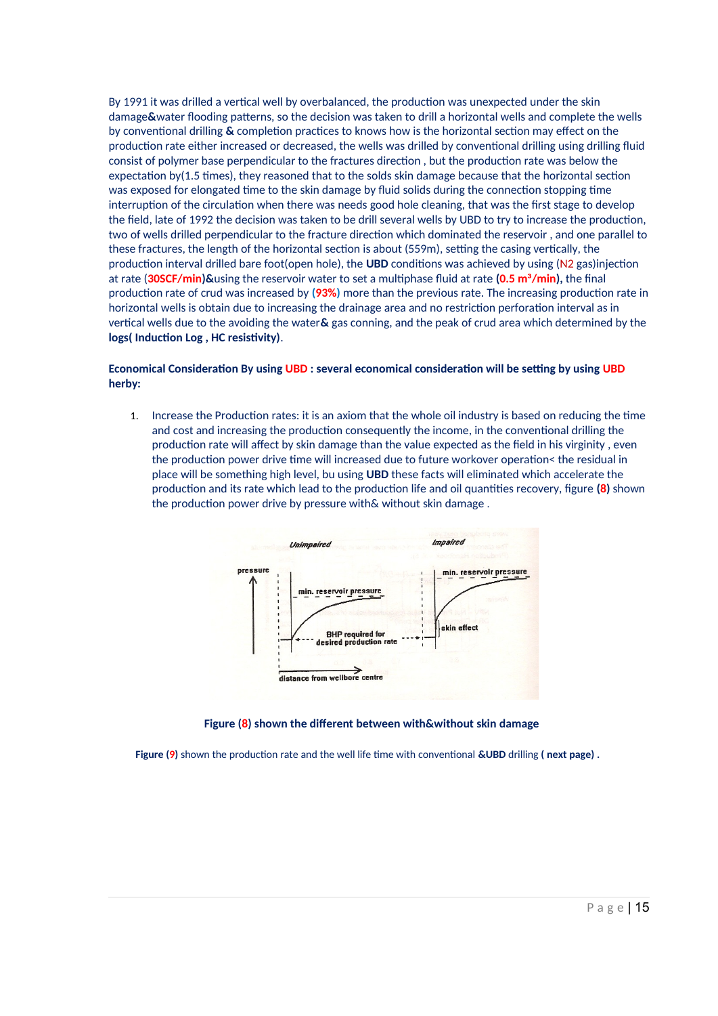By 1991 it was drilled a vertical well by overbalanced, the production was unexpected under the skin damage**&**water flooding patterns, so the decision was taken to drill a horizontal wells and complete the wells by conventional drilling **&** completion practices to knows how is the horizontal section may effect on the production rate either increased or decreased, the wells was drilled by conventional drilling using drilling fluid consist of polymer base perpendicular to the fractures direction , but the production rate was below the expectation by(1.5 times), they reasoned that to the solds skin damage because that the horizontal section was exposed for elongated time to the skin damage by fluid solids during the connection stopping time interruption of the circulation when there was needs good hole cleaning, that was the first stage to develop the field, late of 1992 the decision was taken to be drill several wells by UBD to try to increase the production, two of wells drilled perpendicular to the fracture direction which dominated the reservoir , and one parallel to these fractures, the length of the horizontal section is about (559m), setting the casing vertically, the production interval drilled bare foot(open hole), the **UBD** conditions was achieved by using (N2 gas)injection at rate (**30SCF/min)&**using the reservoir water to set a multiphase fluid at rate **(0.5 m³/min),** the final production rate of crud was increased by **(93%)** more than the previous rate. The increasing production rate in horizontal wells is obtain due to increasing the drainage area and no restriction perforation interval as in vertical wells due to the avoiding the water**&** gas conning, and the peak of crud area which determined by the **logs( Induction Log , HC resistivity)**.

### **Economical Consideration By using UBD : several economical consideration will be setting by using UBD herby:**

1. Increase the Production rates: it is an axiom that the whole oil industry is based on reducing the time and cost and increasing the production consequently the income, in the conventional drilling the production rate will affect by skin damage than the value expected as the field in his virginity , even the production power drive time will increased due to future workover operation< the residual in place will be something high level, bu using **UBD** these facts will eliminated which accelerate the production and its rate which lead to the production life and oil quantities recovery, figure **(8)** shown the production power drive by pressure with& without skin damage .

![](_page_15_Figure_3.jpeg)

### **Figure (8) shown the different between with&without skin damage**

**Figure (9)** shown the production rate and the well life time with conventional **&UBD** drilling **( next page) .**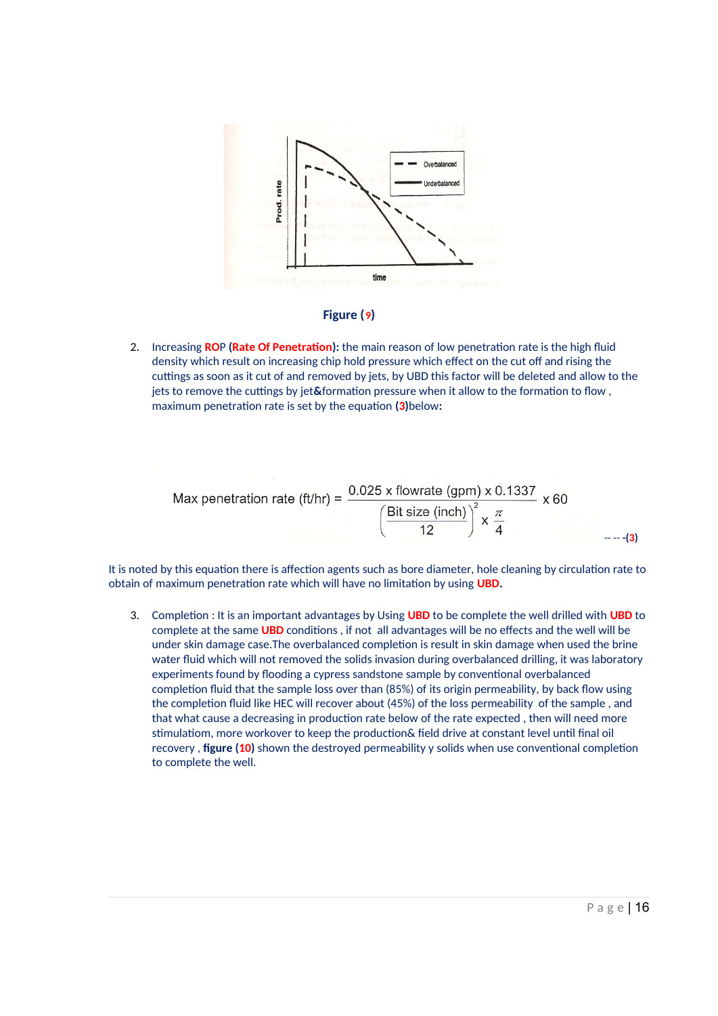![](_page_16_Figure_0.jpeg)

### **Figure (9)**

2. Increasing **RO**P **(Rate Of Penetration):** the main reason of low penetration rate is the high fluid density which result on increasing chip hold pressure which effect on the cut off and rising the cuttings as soon as it cut of and removed by jets, by UBD this factor will be deleted and allow to the jets to remove the cuttings by jet**&**formation pressure when it allow to the formation to flow , maximum penetration rate is set by the equation **(3)**below**:**

$$
\text{Max penetration rate (ft/hr)} = \frac{0.025 \times \text{flowrate (gpm)} \times 0.1337}{\left(\frac{\text{Bit size (inch)}}{12}\right)^2 \times \frac{\pi}{4}} \times 60
$$

It is noted by this equation there is affection agents such as bore diameter, hole cleaning by circulation rate to obtain of maximum penetration rate which will have no limitation by using **UBD.**

3. Completion : It is an important advantages by Using **UBD** to be complete the well drilled with **UBD** to complete at the same **UBD** conditions , if not all advantages will be no effects and the well will be under skin damage case.The overbalanced completion is result in skin damage when used the brine water fluid which will not removed the solids invasion during overbalanced drilling, it was laboratory experiments found by flooding a cypress sandstone sample by conventional overbalanced completion fluid that the sample loss over than (85%) of its origin permeability, by back flow using the completion fluid like HEC will recover about (45%) of the loss permeability of the sample , and that what cause a decreasing in production rate below of the rate expected , then will need more stimulatiom, more workover to keep the production& field drive at constant level until final oil recovery , **figure (10)** shown the destroyed permeability y solids when use conventional completion to complete the well.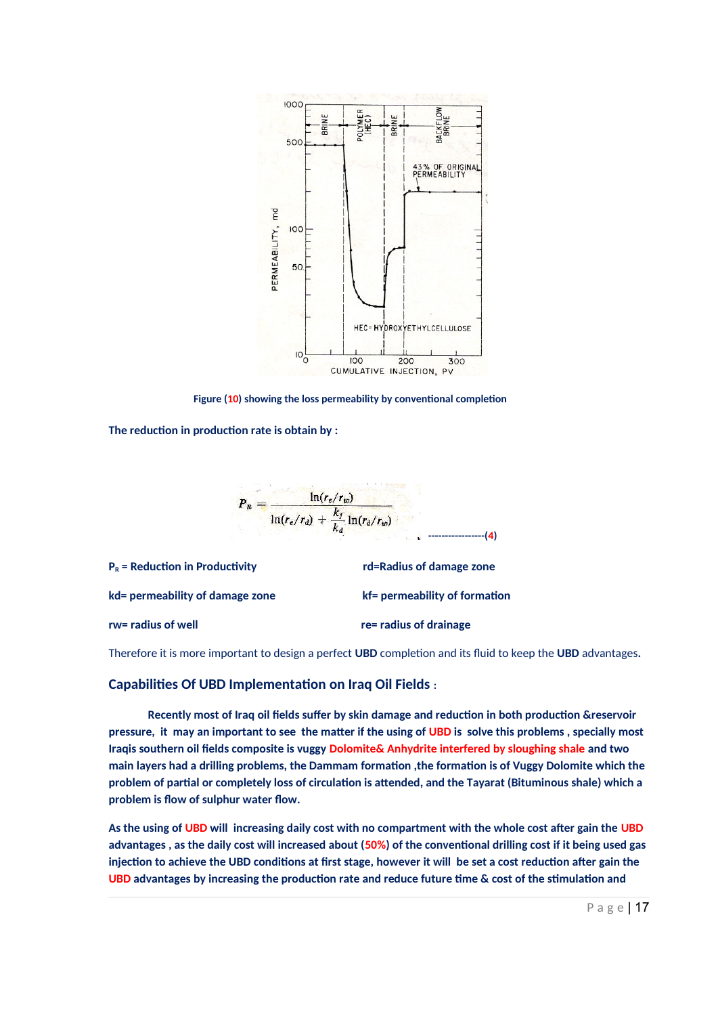![](_page_17_Figure_0.jpeg)

 **Figure (10) showing the loss permeability by conventional completion**

**The reduction in production rate is obtain by :**

![](_page_17_Figure_3.jpeg)

| $PB$ = Reduction in Productivity | rd=Radius of damage zone      |
|----------------------------------|-------------------------------|
| kd= permeability of damage zone  | kf= permeability of formation |
| rw= radius of well               | re= radius of drainage        |

Therefore it is more important to design a perfect **UBD** completion and its fluid to keep the **UBD** advantages**.**

### **Capabilities Of UBD Implementation on Iraq Oil Fields :**

 **Recently most of Iraq oil fields suffer by skin damage and reduction in both production &reservoir pressure, it may an important to see the matter if the using of UBD is solve this problems , specially most Iraqis southern oil fields composite is vuggy Dolomite& Anhydrite interfered by sloughing shale and two main layers had a drilling problems, the Dammam formation ,the formation is of Vuggy Dolomite which the problem of partial or completely loss of circulation is attended, and the Tayarat (Bituminous shale) which a problem is flow of sulphur water flow.**

**As the using of UBD will increasing daily cost with no compartment with the whole cost after gain the UBD advantages , as the daily cost will increased about (50%) of the conventional drilling cost if it being used gas injection to achieve the UBD conditions at first stage, however it will be set a cost reduction after gain the UBD advantages by increasing the production rate and reduce future time & cost of the stimulation and**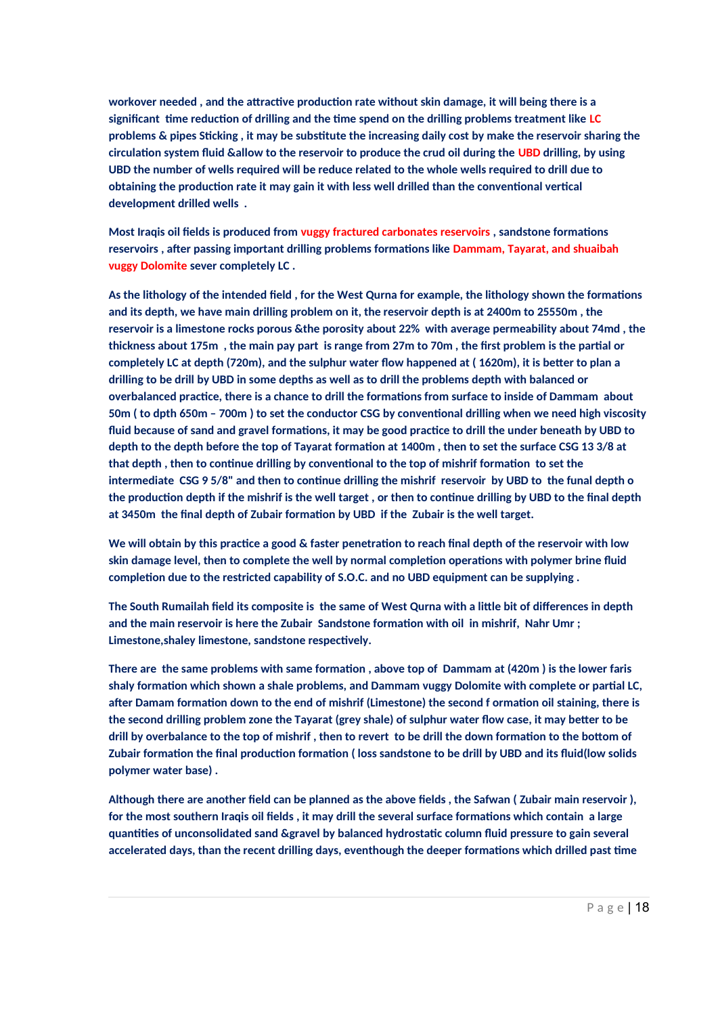**workover needed , and the attractive production rate without skin damage, it will being there is a significant time reduction of drilling and the time spend on the drilling problems treatment like LC problems & pipes Sticking , it may be substitute the increasing daily cost by make the reservoir sharing the circulation system fluid &allow to the reservoir to produce the crud oil during the UBD drilling, by using UBD the number of wells required will be reduce related to the whole wells required to drill due to obtaining the production rate it may gain it with less well drilled than the conventional vertical development drilled wells .**

**Most Iraqis oil fields is produced from vuggy fractured carbonates reservoirs , sandstone formations reservoirs , after passing important drilling problems formations like Dammam, Tayarat, and shuaibah vuggy Dolomite sever completely LC .**

**As the lithology of the intended field , for the West Qurna for example, the lithology shown the formations and its depth, we have main drilling problem on it, the reservoir depth is at 2400m to 25550m , the reservoir is a limestone rocks porous &the porosity about 22% with average permeability about 74md , the thickness about 175m , the main pay part is range from 27m to 70m , the first problem is the partial or completely LC at depth (720m), and the sulphur water flow happened at ( 1620m), it is better to plan a drilling to be drill by UBD in some depths as well as to drill the problems depth with balanced or overbalanced practice, there is a chance to drill the formations from surface to inside of Dammam about 50m ( to dpth 650m – 700m ) to set the conductor CSG by conventional drilling when we need high viscosity fluid because of sand and gravel formations, it may be good practice to drill the under beneath by UBD to depth to the depth before the top of Tayarat formation at 1400m , then to set the surface CSG 13 3/8 at that depth , then to continue drilling by conventional to the top of mishrif formation to set the intermediate CSG 9 5/8" and then to continue drilling the mishrif reservoir by UBD to the funal depth o the production depth if the mishrif is the well target , or then to continue drilling by UBD to the final depth at 3450m the final depth of Zubair formation by UBD if the Zubair is the well target.**

**We will obtain by this practice a good & faster penetration to reach final depth of the reservoir with low skin damage level, then to complete the well by normal completion operations with polymer brine fluid completion due to the restricted capability of S.O.C. and no UBD equipment can be supplying .**

**The South Rumailah field its composite is the same of West Qurna with a little bit of differences in depth and the main reservoir is here the Zubair Sandstone formation with oil in mishrif, Nahr Umr ; Limestone,shaley limestone, sandstone respectively.**

**There are the same problems with same formation , above top of Dammam at (420m ) is the lower faris shaly formation which shown a shale problems, and Dammam vuggy Dolomite with complete or partial LC, after Damam formation down to the end of mishrif (Limestone) the second f ormation oil staining, there is the second drilling problem zone the Tayarat (grey shale) of sulphur water flow case, it may better to be drill by overbalance to the top of mishrif , then to revert to be drill the down formation to the bottom of Zubair formation the final production formation ( loss sandstone to be drill by UBD and its fluid(low solids polymer water base) .**

**Although there are another field can be planned as the above fields , the Safwan ( Zubair main reservoir ), for the most southern Iraqis oil fields , it may drill the several surface formations which contain a large quantities of unconsolidated sand &gravel by balanced hydrostatic column fluid pressure to gain several accelerated days, than the recent drilling days, eventhough the deeper formations which drilled past time**